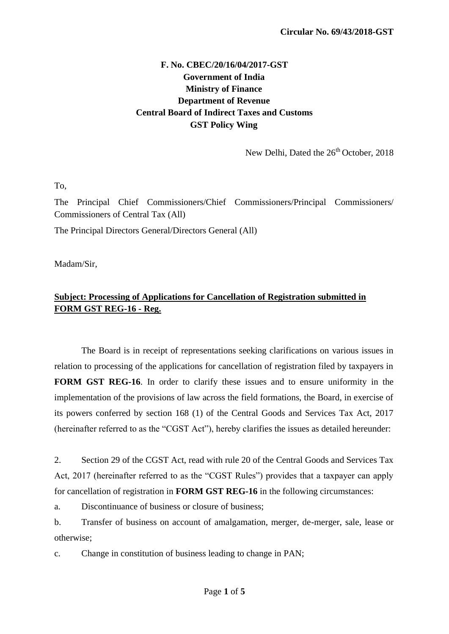## **F. No. CBEC/20/16/04/2017-GST Government of India Ministry of Finance Department of Revenue Central Board of Indirect Taxes and Customs GST Policy Wing**

New Delhi, Dated the  $26<sup>th</sup>$  October, 2018

To,

The Principal Chief Commissioners/Chief Commissioners/Principal Commissioners/ Commissioners of Central Tax (All)

The Principal Directors General/Directors General (All)

Madam/Sir,

## **Subject: Processing of Applications for Cancellation of Registration submitted in FORM GST REG-16 - Reg.**

The Board is in receipt of representations seeking clarifications on various issues in relation to processing of the applications for cancellation of registration filed by taxpayers in **FORM GST REG-16**. In order to clarify these issues and to ensure uniformity in the implementation of the provisions of law across the field formations, the Board, in exercise of its powers conferred by section 168 (1) of the Central Goods and Services Tax Act, 2017 (hereinafter referred to as the "CGST Act"), hereby clarifies the issues as detailed hereunder:

2. Section 29 of the CGST Act, read with rule 20 of the Central Goods and Services Tax Act, 2017 (hereinafter referred to as the "CGST Rules") provides that a taxpayer can apply for cancellation of registration in **FORM GST REG-16** in the following circumstances:

a. Discontinuance of business or closure of business;

b. Transfer of business on account of amalgamation, merger, de-merger, sale, lease or otherwise;

c. Change in constitution of business leading to change in PAN;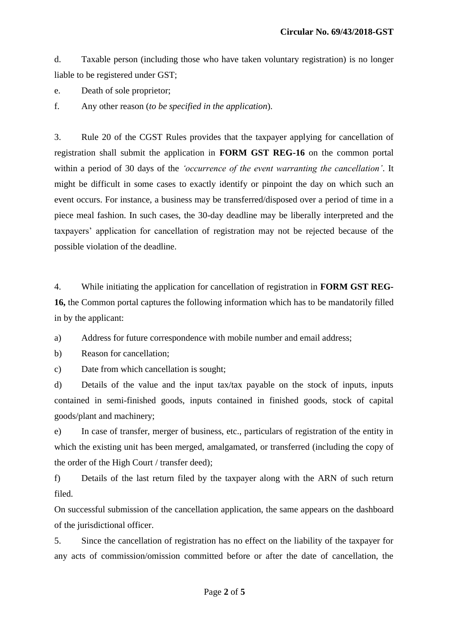d. Taxable person (including those who have taken voluntary registration) is no longer liable to be registered under GST;

e. Death of sole proprietor;

f. Any other reason (*to be specified in the application*).

3. Rule 20 of the CGST Rules provides that the taxpayer applying for cancellation of registration shall submit the application in **FORM GST REG-16** on the common portal within a period of 30 days of the *"occurrence of the event warranting the cancellation"*. It might be difficult in some cases to exactly identify or pinpoint the day on which such an event occurs. For instance, a business may be transferred/disposed over a period of time in a piece meal fashion. In such cases, the 30-day deadline may be liberally interpreted and the taxpayers" application for cancellation of registration may not be rejected because of the possible violation of the deadline.

4. While initiating the application for cancellation of registration in **FORM GST REG-16,** the Common portal captures the following information which has to be mandatorily filled in by the applicant:

a) Address for future correspondence with mobile number and email address;

b) Reason for cancellation;

c) Date from which cancellation is sought;

d) Details of the value and the input tax/tax payable on the stock of inputs, inputs contained in semi-finished goods, inputs contained in finished goods, stock of capital goods/plant and machinery;

e) In case of transfer, merger of business, etc., particulars of registration of the entity in which the existing unit has been merged, amalgamated, or transferred (including the copy of the order of the High Court / transfer deed);

f) Details of the last return filed by the taxpayer along with the ARN of such return filed.

On successful submission of the cancellation application, the same appears on the dashboard of the jurisdictional officer.

5. Since the cancellation of registration has no effect on the liability of the taxpayer for any acts of commission/omission committed before or after the date of cancellation, the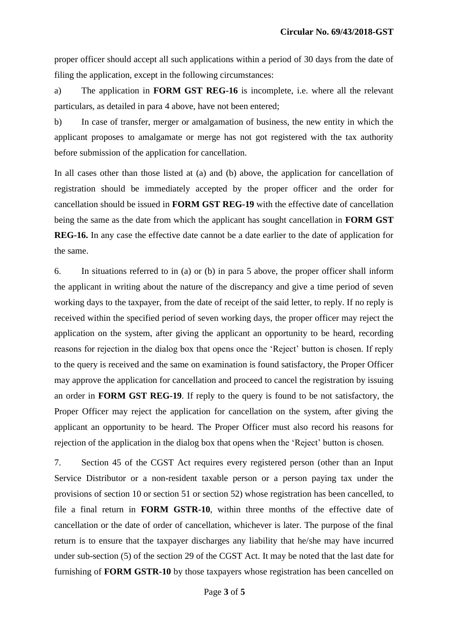proper officer should accept all such applications within a period of 30 days from the date of filing the application, except in the following circumstances:

a) The application in **FORM GST REG-16** is incomplete, i.e. where all the relevant particulars, as detailed in para 4 above, have not been entered;

b) In case of transfer, merger or amalgamation of business, the new entity in which the applicant proposes to amalgamate or merge has not got registered with the tax authority before submission of the application for cancellation.

In all cases other than those listed at (a) and (b) above, the application for cancellation of registration should be immediately accepted by the proper officer and the order for cancellation should be issued in **FORM GST REG-19** with the effective date of cancellation being the same as the date from which the applicant has sought cancellation in **FORM GST REG-16.** In any case the effective date cannot be a date earlier to the date of application for the same.

6. In situations referred to in (a) or (b) in para 5 above, the proper officer shall inform the applicant in writing about the nature of the discrepancy and give a time period of seven working days to the taxpayer, from the date of receipt of the said letter, to reply. If no reply is received within the specified period of seven working days, the proper officer may reject the application on the system, after giving the applicant an opportunity to be heard, recording reasons for rejection in the dialog box that opens once the 'Reject' button is chosen. If reply to the query is received and the same on examination is found satisfactory, the Proper Officer may approve the application for cancellation and proceed to cancel the registration by issuing an order in **FORM GST REG-19**. If reply to the query is found to be not satisfactory, the Proper Officer may reject the application for cancellation on the system, after giving the applicant an opportunity to be heard. The Proper Officer must also record his reasons for rejection of the application in the dialog box that opens when the "Reject" button is chosen.

7. Section 45 of the CGST Act requires every registered person (other than an Input Service Distributor or a non-resident taxable person or a person paying tax under the provisions of section 10 or section 51 or section 52) whose registration has been cancelled, to file a final return in **FORM GSTR-10**, within three months of the effective date of cancellation or the date of order of cancellation, whichever is later. The purpose of the final return is to ensure that the taxpayer discharges any liability that he/she may have incurred under sub-section (5) of the section 29 of the CGST Act. It may be noted that the last date for furnishing of **FORM GSTR-10** by those taxpayers whose registration has been cancelled on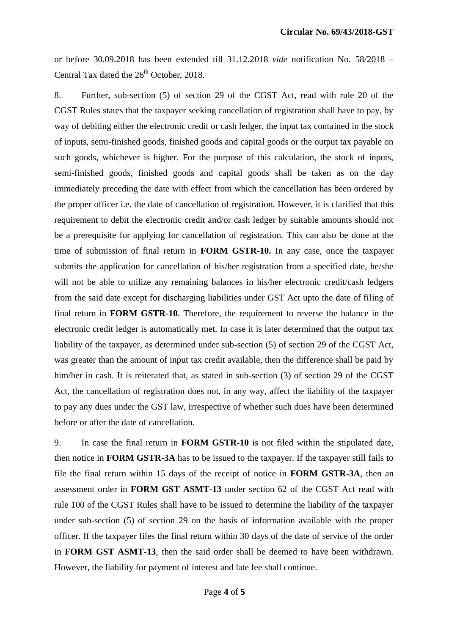or before 30.09.2018 has been extended till 31.12.2018 *vide* notification No. 58/2018 – Central Tax dated the  $26<sup>th</sup>$  October, 2018.

8. Further, sub-section (5) of section 29 of the CGST Act, read with rule 20 of the CGST Rules states that the taxpayer seeking cancellation of registration shall have to pay, by way of debiting either the electronic credit or cash ledger, the input tax contained in the stock of inputs, semi-finished goods, finished goods and capital goods or the output tax payable on such goods, whichever is higher. For the purpose of this calculation, the stock of inputs, semi-finished goods, finished goods and capital goods shall be taken as on the day immediately preceding the date with effect from which the cancellation has been ordered by the proper officer i.e. the date of cancellation of registration. However, it is clarified that this requirement to debit the electronic credit and/or cash ledger by suitable amounts should not be a prerequisite for applying for cancellation of registration. This can also be done at the time of submission of final return in **FORM GSTR-10.** In any case, once the taxpayer submits the application for cancellation of his/her registration from a specified date, he/she will not be able to utilize any remaining balances in his/her electronic credit/cash ledgers from the said date except for discharging liabilities under GST Act upto the date of filing of final return in **FORM GSTR-10**. Therefore, the requirement to reverse the balance in the electronic credit ledger is automatically met. In case it is later determined that the output tax liability of the taxpayer, as determined under sub-section (5) of section 29 of the CGST Act, was greater than the amount of input tax credit available, then the difference shall be paid by him/her in cash. It is reiterated that, as stated in sub-section (3) of section 29 of the CGST Act, the cancellation of registration does not, in any way, affect the liability of the taxpayer to pay any dues under the GST law, irrespective of whether such dues have been determined before or after the date of cancellation.

9. In case the final return in **FORM GSTR-10** is not filed within the stipulated date, then notice in **FORM GSTR-3A** has to be issued to the taxpayer. If the taxpayer still fails to file the final return within 15 days of the receipt of notice in **FORM GSTR-3A**, then an assessment order in **FORM GST ASMT-13** under section 62 of the CGST Act read with rule 100 of the CGST Rules shall have to be issued to determine the liability of the taxpayer under sub-section (5) of section 29 on the basis of information available with the proper officer. If the taxpayer files the final return within 30 days of the date of service of the order in **FORM GST ASMT-13**, then the said order shall be deemed to have been withdrawn. However, the liability for payment of interest and late fee shall continue.